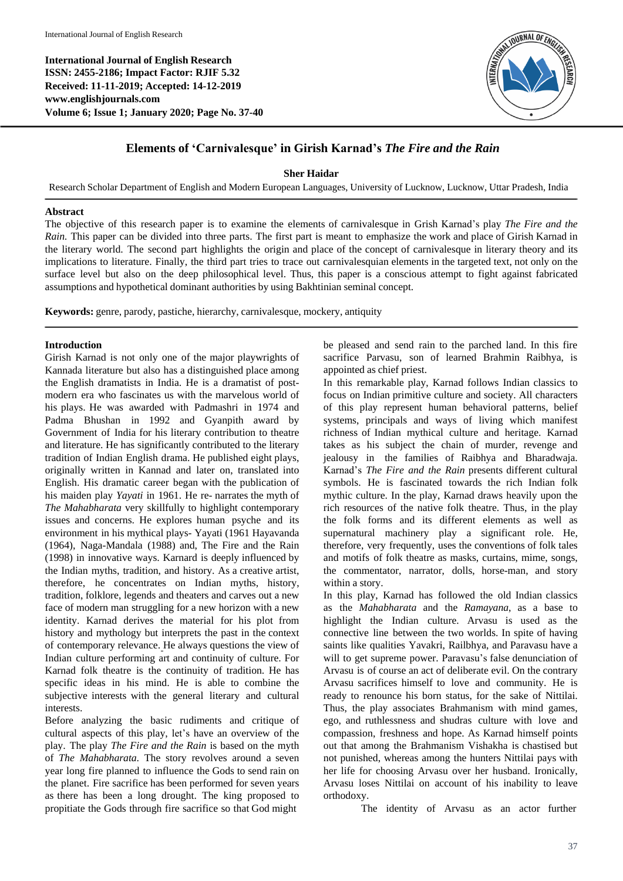**International Journal of English Research ISSN: 2455-2186; Impact Factor: RJIF 5.32 Received: 11-11-2019; Accepted: 14-12-201[9](http://www.englishjournals.com/) [www.englishjournals.com](http://www.englishjournals.com/) Volume 6; Issue 1; January 2020; Page No. 37-40**



## **Elements of 'Carnivalesque' in Girish Karnad's** *The Fire and the Rain*

**Sher Haidar**

Research Scholar Department of English and Modern European Languages, University of Lucknow, Lucknow, Uttar Pradesh, India

## **Abstract**

The objective of this research paper is to examine the elements of carnivalesque in Grish Karnad's play *The Fire and the Rain.* This paper can be divided into three parts. The first part is meant to emphasize the work and place of Girish Karnad in the literary world. The second part highlights the origin and place of the concept of carnivalesque in literary theory and its implications to literature. Finally, the third part tries to trace out carnivalesquian elements in the targeted text, not only on the surface level but also on the deep philosophical level. Thus, this paper is a conscious attempt to fight against fabricated assumptions and hypothetical dominant authorities by using Bakhtinian seminal concept.

**Keywords:** genre, parody, pastiche, hierarchy, carnivalesque, mockery, antiquity

## **Introduction**

Girish Karnad is not only one of the major playwrights of Kannada literature but also has a distinguished place among the English dramatists in India. He is a dramatist of postmodern era who fascinates us with the marvelous world of his plays. He was awarded with Padmashri in 1974 and Padma Bhushan in 1992 and Gyanpith award by Government of India for his literary contribution to theatre and literature. He has significantly contributed to the literary tradition of Indian English drama. He published eight plays, originally written in Kannad and later on, translated into English. His dramatic career began with the publication of his maiden play *Yayati* in 1961. He re- narrates the myth of *The Mahabharata* very skillfully to highlight contemporary issues and concerns. He explores human psyche and its environment in his mythical plays- Yayati (1961 Hayavanda (1964), Naga-Mandala (1988) and, The Fire and the Rain (1998) in innovative ways. Karnard is deeply influenced by the Indian myths, tradition, and history. As a creative artist, therefore, he concentrates on Indian myths, history, tradition, folklore, legends and theaters and carves out a new face of modern man struggling for a new horizon with a new identity. Karnad derives the material for his plot from history and mythology but interprets the past in the context of contemporary relevance. He always questions the view of Indian culture performing art and continuity of culture. For Karnad folk theatre is the continuity of tradition. He has specific ideas in his mind. He is able to combine the subjective interests with the general literary and cultural interests.

Before analyzing the basic rudiments and critique of cultural aspects of this play, let's have an overview of the play. The play *The Fire and the Rain* is based on the myth of *The Mahabharata*. The story revolves around a seven year long fire planned to influence the Gods to send rain on the planet. Fire sacrifice has been performed for seven years as there has been a long drought. The king proposed to propitiate the Gods through fire sacrifice so that God might

be pleased and send rain to the parched land. In this fire sacrifice Parvasu, son of learned Brahmin Raibhya, is appointed as chief priest.

In this remarkable play, Karnad follows Indian classics to focus on Indian primitive culture and society. All characters of this play represent human behavioral patterns, belief systems, principals and ways of living which manifest richness of Indian mythical culture and heritage. Karnad takes as his subject the chain of murder, revenge and jealousy in the families of Raibhya and Bharadwaja. Karnad's *The Fire and the Rain* presents different cultural symbols. He is fascinated towards the rich Indian folk mythic culture. In the play, Karnad draws heavily upon the rich resources of the native folk theatre. Thus, in the play the folk forms and its different elements as well as supernatural machinery play a significant role. He, therefore, very frequently, uses the conventions of folk tales and motifs of folk theatre as masks, curtains, mime, songs, the commentator, narrator, dolls, horse-man, and story within a story.

In this play, Karnad has followed the old Indian classics as the *Mahabharata* and the *Ramayana*, as a base to highlight the Indian culture. Arvasu is used as the connective line between the two worlds. In spite of having saints like qualities Yavakri, Railbhya, and Paravasu have a will to get supreme power. Paravasu's false denunciation of Arvasu is of course an act of deliberate evil. On the contrary Arvasu sacrifices himself to love and community. He is ready to renounce his born status, for the sake of Nittilai. Thus, the play associates Brahmanism with mind games, ego, and ruthlessness and shudras culture with love and compassion, freshness and hope. As Karnad himself points out that among the Brahmanism Vishakha is chastised but not punished, whereas among the hunters Nittilai pays with her life for choosing Arvasu over her husband. Ironically, Arvasu loses Nittilai on account of his inability to leave orthodoxy.

The identity of Arvasu as an actor further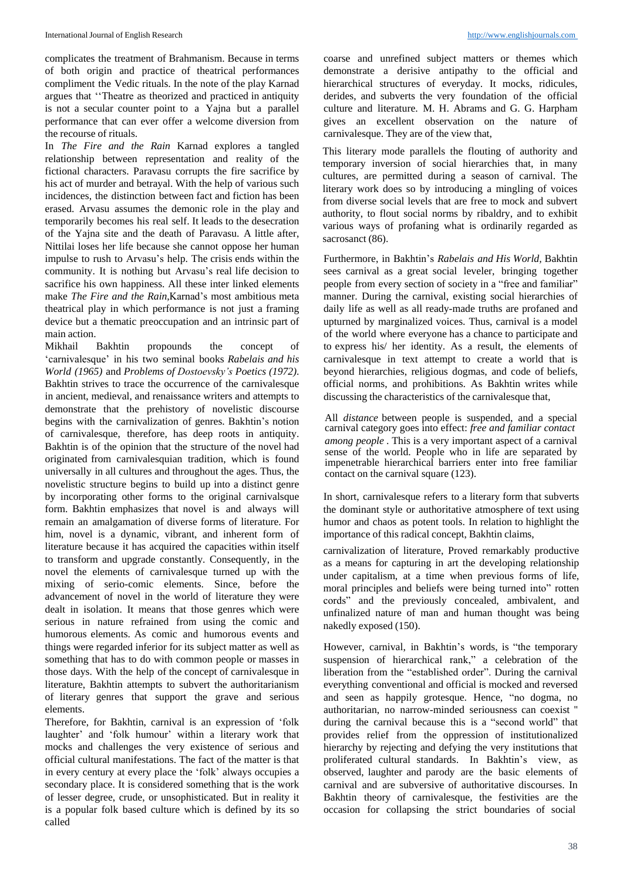complicates the treatment of Brahmanism. Because in terms of both origin and practice of theatrical performances compliment the Vedic rituals. In the note of the play Karnad argues that ''Theatre as theorized and practiced in antiquity is not a secular counter point to a Yajna but a parallel performance that can ever offer a welcome diversion from the recourse of rituals.

In *The Fire and the Rain* Karnad explores a tangled relationship between representation and reality of the fictional characters. Paravasu corrupts the fire sacrifice by his act of murder and betrayal. With the help of various such incidences, the distinction between fact and fiction has been erased. Arvasu assumes the demonic role in the play and temporarily becomes his real self. It leads to the desecration of the Yajna site and the death of Paravasu. A little after, Nittilai loses her life because she cannot oppose her human impulse to rush to Arvasu's help. The crisis ends within the community. It is nothing but Arvasu's real life decision to sacrifice his own happiness. All these inter linked elements make *The Fire and the Rain,*Karnad's most ambitious meta theatrical play in which performance is not just a framing device but a thematic preoccupation and an intrinsic part of main action.

Mikhail Bakhtin propounds the concept of 'carnivalesque' in his two seminal books *Rabelais and his World (1965)* and *Problems of Dostoevsky's Poetics (1972)*. Bakhtin strives to trace the occurrence of the carnivalesque in ancient, medieval, and renaissance writers and attempts to demonstrate that the prehistory of novelistic discourse begins with the carnivalization of genres. Bakhtin's notion of carnivalesque, therefore, has deep roots in antiquity. Bakhtin is of the opinion that the structure of the novel had originated from carnivalesquian tradition, which is found universally in all cultures and throughout the ages. Thus, the novelistic structure begins to build up into a distinct genre by incorporating other forms to the original carnivalsque form. Bakhtin emphasizes that novel is and always will remain an amalgamation of diverse forms of literature. For him, novel is a dynamic, vibrant, and inherent form of literature because it has acquired the capacities within itself to transform and upgrade constantly. Consequently, in the novel the elements of carnivalesque turned up with the mixing of serio-comic elements. Since, before the advancement of novel in the world of literature they were dealt in isolation. It means that those genres which were serious in nature refrained from using the comic and humorous elements. As comic and humorous events and things were regarded inferior for its subject matter as well as something that has to do with common people or masses in those days. With the help of the concept of carnivalesque in literature, Bakhtin attempts to subvert the authoritarianism of literary genres that support the grave and serious elements.

Therefore, for Bakhtin, carnival is an expression of 'folk laughter' and 'folk humour' within a literary work that mocks and challenges the very existence of serious and official cultural manifestations. The fact of the matter is that in every century at every place the 'folk' always occupies a secondary place. It is considered something that is the work of lesser degree, crude, or unsophisticated. But in reality it is a popular folk based culture which is defined by its so called

coarse and unrefined subject matters or themes which demonstrate a derisive antipathy to the official and hierarchical structures of everyday. It mocks, ridicules, derides, and subverts the very foundation of the official culture and literature. M. H. Abrams and G. G. Harpham gives an excellent observation on the nature of carnivalesque. They are of the view that,

This literary mode parallels the flouting of authority and temporary inversion of social hierarchies that, in many cultures, are permitted during a season of carnival. The literary work does so by introducing a mingling of voices from diverse social levels that are free to mock and subvert authority, to flout social norms by ribaldry, and to exhibit various ways of profaning what is ordinarily regarded as sacrosanct (86).

Furthermore, in Bakhtin's *Rabelais and His World,* Bakhtin sees carnival as a great social leveler, bringing together people from every section of society in a "free and familiar" manner. During the carnival, existing social hierarchies of daily life as well as all ready-made truths are profaned and upturned by marginalized voices. Thus, carnival is a model of the world where everyone has a chance to participate and to express his/ her identity. As a result, the elements of carnivalesque in text attempt to create a world that is beyond hierarchies, religious dogmas, and code of beliefs, official norms, and prohibitions. As Bakhtin writes while discussing the characteristics of the carnivalesque that,

All *distance* between people is suspended, and a special carnival category goes into effect: *free and familiar contact among people* . This is a very important aspect of a carnival sense of the world. People who in life are separated by impenetrable hierarchical barriers enter into free familiar contact on the carnival square (123).

In short, carnivalesque refers to a literary form that subverts the dominant style or authoritative atmosphere of text using humor and chaos as potent tools. In relation to highlight the importance of this radical concept, Bakhtin claims,

carnivalization of literature, Proved remarkably productive as a means for capturing in art the developing relationship under capitalism, at a time when previous forms of life, moral principles and beliefs were being turned into" rotten cords" and the previously concealed, ambivalent, and unfinalized nature of man and human thought was being nakedly exposed (150).

However, carnival, in Bakhtin's words, is "the temporary suspension of hierarchical rank," a celebration of the liberation from the "established order". During the carnival everything conventional and official is mocked and reversed and seen as happily grotesque. Hence, "no dogma, no authoritarian, no narrow-minded seriousness can coexist '' during the carnival because this is a "second world" that provides relief from the oppression of institutionalized hierarchy by rejecting and defying the very institutions that proliferated cultural standards. In Bakhtin's view, as observed, laughter and parody are the basic elements of carnival and are subversive of authoritative discourses. In Bakhtin theory of carnivalesque, the festivities are the occasion for collapsing the strict boundaries of social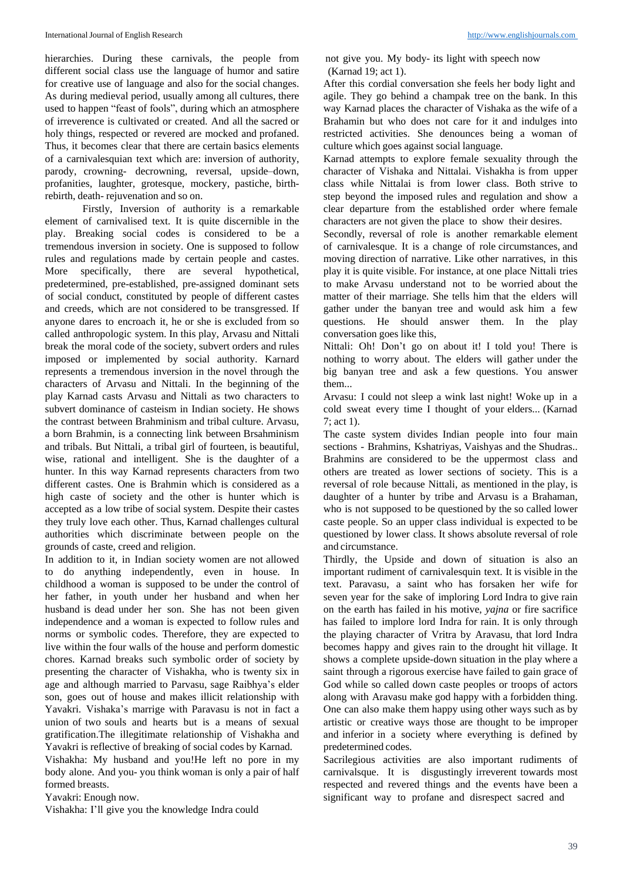hierarchies. During these carnivals, the people from different social class use the language of humor and satire for creative use of language and also for the social changes. As during medieval period, usually among all cultures, there used to happen "feast of fools", during which an atmosphere of irreverence is cultivated or created. And all the sacred or holy things, respected or revered are mocked and profaned. Thus, it becomes clear that there are certain basics elements of a carnivalesquian text which are: inversion of authority, parody, crowning- decrowning, reversal, upside–down, profanities, laughter, grotesque, mockery, pastiche, birthrebirth, death- rejuvenation and so on.

Firstly, Inversion of authority is a remarkable element of carnivalised text. It is quite discernible in the play. Breaking social codes is considered to be a tremendous inversion in society. One is supposed to follow rules and regulations made by certain people and castes. More specifically, there are several hypothetical, predetermined, pre-established, pre-assigned dominant sets of social conduct, constituted by people of different castes and creeds, which are not considered to be transgressed. If anyone dares to encroach it, he or she is excluded from so called anthropologic system. In this play, Arvasu and Nittali break the moral code of the society, subvert orders and rules imposed or implemented by social authority. Karnard represents a tremendous inversion in the novel through the characters of Arvasu and Nittali. In the beginning of the play Karnad casts Arvasu and Nittali as two characters to subvert dominance of casteism in Indian society. He shows the contrast between Brahminism and tribal culture. Arvasu, a born Brahmin, is a connecting link between Brsahminism and tribals. But Nittali, a tribal girl of fourteen, is beautiful, wise, rational and intelligent. She is the daughter of a hunter. In this way Karnad represents characters from two different castes. One is Brahmin which is considered as a high caste of society and the other is hunter which is accepted as a low tribe of social system. Despite their castes they truly love each other. Thus, Karnad challenges cultural authorities which discriminate between people on the grounds of caste, creed and religion.

In addition to it, in Indian society women are not allowed to do anything independently, even in house. In childhood a woman is supposed to be under the control of her father, in youth under her husband and when her husband is dead under her son. She has not been given independence and a woman is expected to follow rules and norms or symbolic codes. Therefore, they are expected to live within the four walls of the house and perform domestic chores. Karnad breaks such symbolic order of society by presenting the character of Vishakha, who is twenty six in age and although married to Parvasu, sage Raibhya's elder son, goes out of house and makes illicit relationship with Yavakri. Vishaka's marrige with Paravasu is not in fact a union of two souls and hearts but is a means of sexual gratification.The illegitimate relationship of Vishakha and Yavakri is reflective of breaking of social codes by Karnad.

Vishakha: My husband and you!He left no pore in my body alone. And you- you think woman is only a pair of half formed breasts.

Yavakri: Enough now.

Vishakha: I'll give you the knowledge Indra could

not give you. My body- its light with speech now (Karnad 19; act 1).

After this cordial conversation she feels her body light and agile. They go behind a champak tree on the bank. In this way Karnad places the character of Vishaka as the wife of a Brahamin but who does not care for it and indulges into restricted activities. She denounces being a woman of culture which goes against social language.

Karnad attempts to explore female sexuality through the character of Vishaka and Nittalai. Vishakha is from upper class while Nittalai is from lower class. Both strive to step beyond the imposed rules and regulation and show a clear departure from the established order where female characters are not given the place to show their desires.

Secondly, reversal of role is another remarkable element of carnivalesque. It is a change of role circumstances, and moving direction of narrative. Like other narratives, in this play it is quite visible. For instance, at one place Nittali tries to make Arvasu understand not to be worried about the matter of their marriage. She tells him that the elders will gather under the banyan tree and would ask him a few questions. He should answer them. In the play conversation goes like this,

Nittali: Oh! Don't go on about it! I told you! There is nothing to worry about. The elders will gather under the big banyan tree and ask a few questions. You answer them...

Arvasu: I could not sleep a wink last night! Woke up in a cold sweat every time I thought of your elders... (Karnad 7; act 1).

The caste system divides Indian people into four main sections - Brahmins, Kshatriyas, Vaishyas and the Shudras.. Brahmins are considered to be the uppermost class and others are treated as lower sections of society. This is a reversal of role because Nittali, as mentioned in the play, is daughter of a hunter by tribe and Arvasu is a Brahaman, who is not supposed to be questioned by the so called lower caste people. So an upper class individual is expected to be questioned by lower class. It shows absolute reversal of role and circumstance.

Thirdly, the Upside and down of situation is also an important rudiment of carnivalesquin text. It is visible in the text. Paravasu, a saint who has forsaken her wife for seven year for the sake of imploring Lord Indra to give rain on the earth has failed in his motive, *yajna* or fire sacrifice has failed to implore lord Indra for rain. It is only through the playing character of Vritra by Aravasu, that lord Indra becomes happy and gives rain to the drought hit village. It shows a complete upside-down situation in the play where a saint through a rigorous exercise have failed to gain grace of God while so called down caste peoples or troops of actors along with Aravasu make god happy with a forbidden thing. One can also make them happy using other ways such as by artistic or creative ways those are thought to be improper and inferior in a society where everything is defined by predetermined codes.

Sacrilegious activities are also important rudiments of carnivalsque. It is disgustingly irreverent towards most respected and revered things and the events have been a significant way to profane and disrespect sacred and